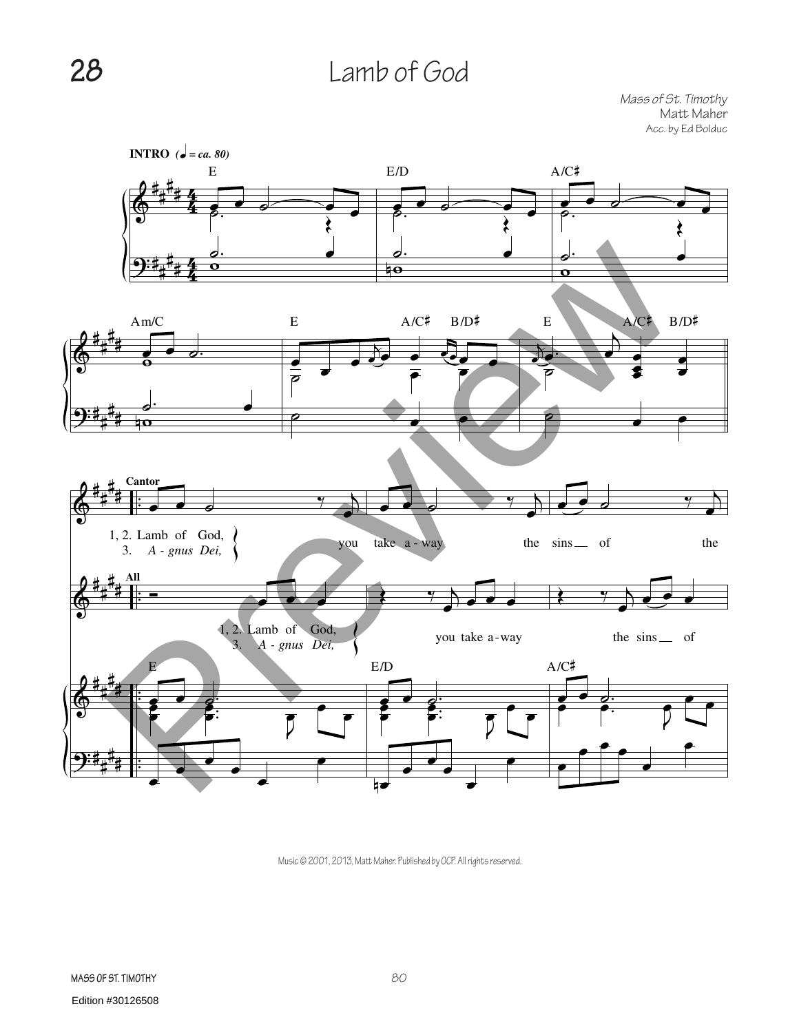## **28** Lamb of God

*Mass of St. Timothy* Matt Maher Acc. by Ed Bolduc



Music © 2001, 2013, Matt Maher. Published by OCP. All rights reserved.